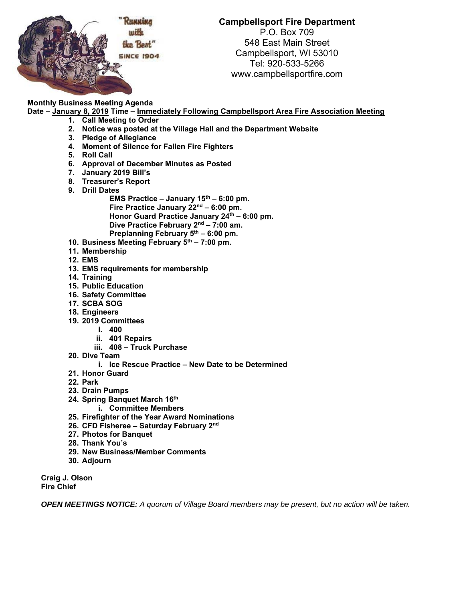

## **Campbellsport Fire Department**

P.O. Box 709 548 East Main Street Campbellsport, WI 53010 Tel: 920-533-5266 www.campbellsportfire.com

## **Monthly Business Meeting Agenda**

**Date – January 8, 2019 Time – Immediately Following Campbellsport Area Fire Association Meeting** 

- **1. Call Meeting to Order**
- **2. Notice was posted at the Village Hall and the Department Website**
- **3. Pledge of Allegiance**
- **4. Moment of Silence for Fallen Fire Fighters**
- **5. Roll Call**
- **6. Approval of December Minutes as Posted**
- **7. January 2019 Bill's**
- **8. Treasurer's Report**
- **9. Drill Dates** 
	- **EMS Practice January 15th 6:00 pm.**  Fire Practice January 22<sup>nd</sup> – 6:00 pm. Honor Guard Practice January 24<sup>th</sup> – 6:00 pm. **Dive Practice February 2nd – 7:00 am. Preplanning February 5th – 6:00 pm.**
- **10. Business Meeting February 5th 7:00 pm.**
- **11. Membership**
- **12. EMS**
- **13. EMS requirements for membership**
- **14. Training**
- **15. Public Education**
- **16. Safety Committee**
- **17. SCBA SOG**
- **18. Engineers**
- **19. 2019 Committees** 
	- **i. 400**
	- **ii. 401 Repairs**
	- **iii. 408 Truck Purchase**
- **20. Dive Team** 
	- **i. Ice Rescue Practice New Date to be Determined**
- **21. Honor Guard**
- **22. Park**
- **23. Drain Pumps**
- **24. Spring Banquet March 16th** 
	- **i. Committee Members**
- **25. Firefighter of the Year Award Nominations**
- **26. CFD Fisheree Saturday February 2nd**
- **27. Photos for Banquet**
- **28. Thank You's**
- **29. New Business/Member Comments**
- **30. Adjourn**

**Craig J. Olson Fire Chief** 

*OPEN MEETINGS NOTICE: A quorum of Village Board members may be present, but no action will be taken.*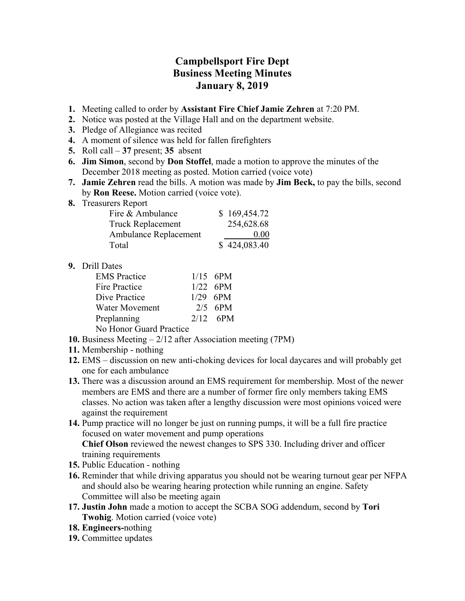## **Campbellsport Fire Dept Business Meeting Minutes January 8, 2019**

- **1.** Meeting called to order by **Assistant Fire Chief Jamie Zehren** at 7:20 PM.
- **2.** Notice was posted at the Village Hall and on the department website.
- **3.** Pledge of Allegiance was recited
- **4.** A moment of silence was held for fallen firefighters
- **5.** Roll call **37** present; **35** absent
- **6. Jim Simon**, second by **Don Stoffel**, made a motion to approve the minutes of the December 2018 meeting as posted. Motion carried (voice vote)
- **7. Jamie Zehren** read the bills. A motion was made by **Jim Beck,** to pay the bills, second by **Ron Reese.** Motion carried (voice vote).
- **8.** Treasurers Report

| Fire & Ambulance         | \$169,454.72 |
|--------------------------|--------------|
| <b>Truck Replacement</b> | 254,628.68   |
| Ambulance Replacement    | 0.00         |
| Total                    | \$424,083.40 |

## **9.** Drill Dates

| <b>EMS</b> Practice     | $1/15$ 6PM |
|-------------------------|------------|
| Fire Practice           | $1/22$ 6PM |
| Dive Practice           | $1/29$ 6PM |
| Water Movement          | $2/5$ 6PM  |
| Preplanning             | $2/12$ 6PM |
| No Honor Guard Practice |            |

- **10.** Business Meeting 2/12 after Association meeting (7PM)
- **11.** Membership nothing
- **12.** EMS discussion on new anti-choking devices for local daycares and will probably get one for each ambulance
- **13.** There was a discussion around an EMS requirement for membership. Most of the newer members are EMS and there are a number of former fire only members taking EMS classes. No action was taken after a lengthy discussion were most opinions voiced were against the requirement
- **14.** Pump practice will no longer be just on running pumps, it will be a full fire practice focused on water movement and pump operations **Chief Olson** reviewed the newest changes to SPS 330. Including driver and officer training requirements
- **15.** Public Education nothing
- **16.** Reminder that while driving apparatus you should not be wearing turnout gear per NFPA and should also be wearing hearing protection while running an engine. Safety Committee will also be meeting again
- **17. Justin John** made a motion to accept the SCBA SOG addendum, second by **Tori Twohig**. Motion carried (voice vote)
- **18. Engineers-**nothing
- **19.** Committee updates